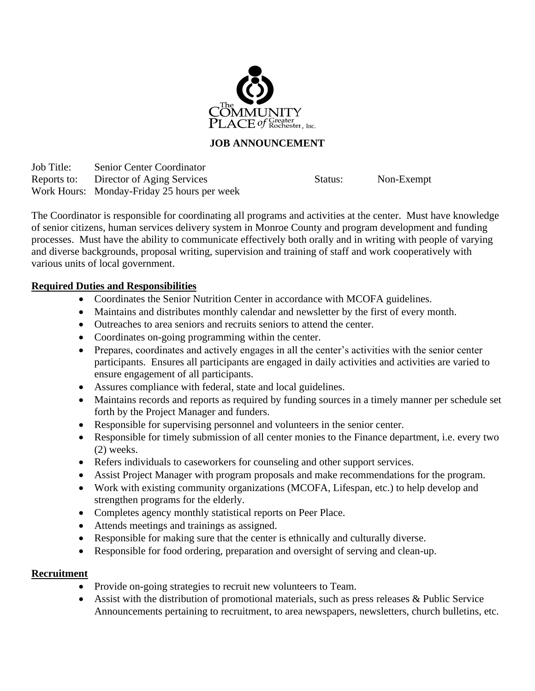

# **JOB ANNOUNCEMENT**

Job Title: Senior Center Coordinator Reports to: Director of Aging Services Status: Non-Exempt Work Hours: Monday-Friday 25 hours per week

The Coordinator is responsible for coordinating all programs and activities at the center. Must have knowledge of senior citizens, human services delivery system in Monroe County and program development and funding processes. Must have the ability to communicate effectively both orally and in writing with people of varying and diverse backgrounds, proposal writing, supervision and training of staff and work cooperatively with various units of local government.

## **Required Duties and Responsibilities**

- Coordinates the Senior Nutrition Center in accordance with MCOFA guidelines.
- Maintains and distributes monthly calendar and newsletter by the first of every month.
- Outreaches to area seniors and recruits seniors to attend the center.
- Coordinates on-going programming within the center.
- Prepares, coordinates and actively engages in all the center's activities with the senior center participants. Ensures all participants are engaged in daily activities and activities are varied to ensure engagement of all participants.
- Assures compliance with federal, state and local guidelines.
- Maintains records and reports as required by funding sources in a timely manner per schedule set forth by the Project Manager and funders.
- Responsible for supervising personnel and volunteers in the senior center.
- Responsible for timely submission of all center monies to the Finance department, i.e. every two (2) weeks.
- Refers individuals to caseworkers for counseling and other support services.
- Assist Project Manager with program proposals and make recommendations for the program.
- Work with existing community organizations (MCOFA, Lifespan, etc.) to help develop and strengthen programs for the elderly.
- Completes agency monthly statistical reports on Peer Place.
- Attends meetings and trainings as assigned.
- Responsible for making sure that the center is ethnically and culturally diverse.
- Responsible for food ordering, preparation and oversight of serving and clean-up.

## **Recruitment**

- Provide on-going strategies to recruit new volunteers to Team.
- Assist with the distribution of promotional materials, such as press releases & Public Service Announcements pertaining to recruitment, to area newspapers, newsletters, church bulletins, etc.